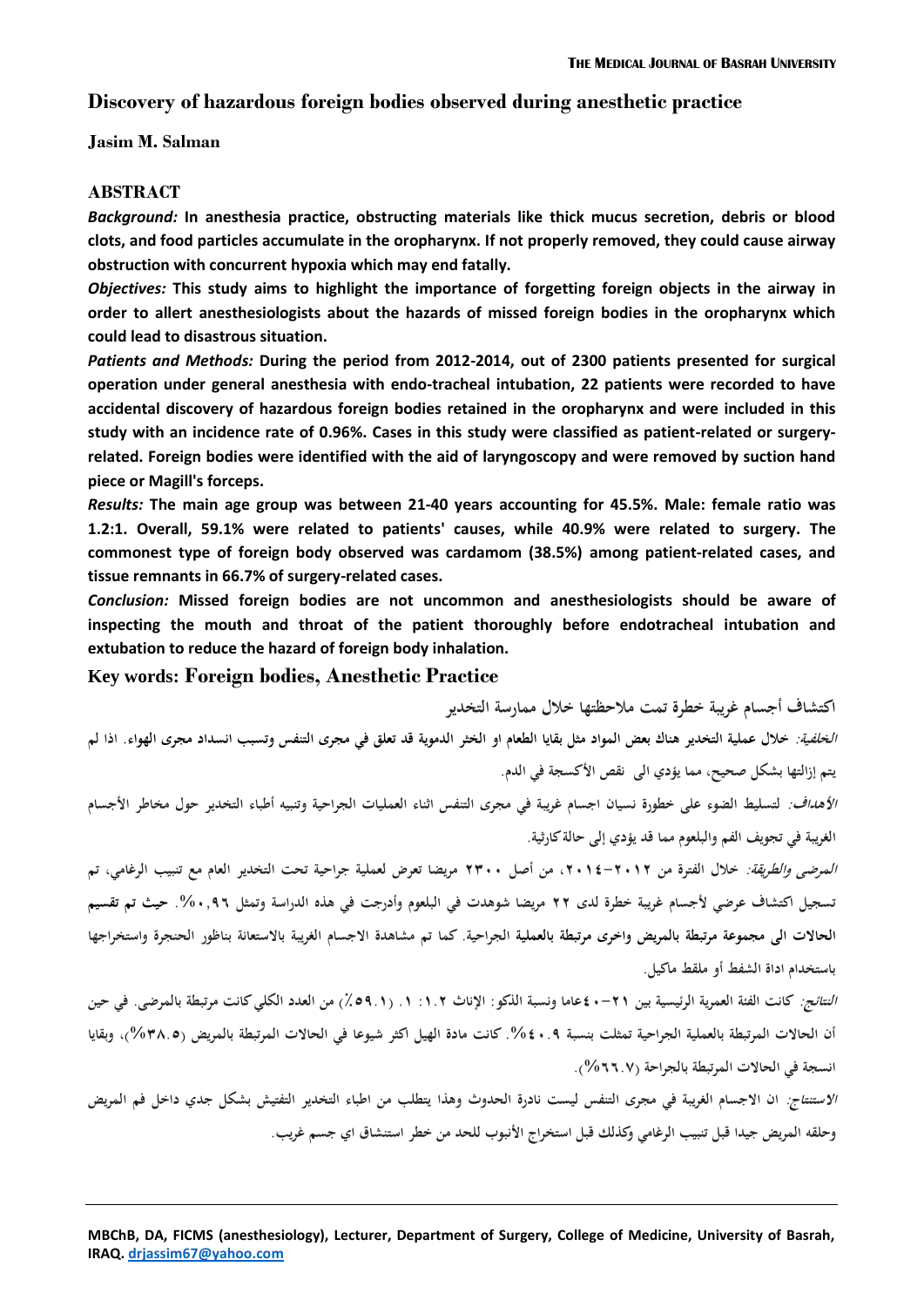# **Discovery of hazardous foreign bodies observed during anesthetic practice**

**Jasim M. Salman**

#### **ABSTRACT**

*Background:* **In anesthesia practice, obstructing materials like thick mucus secretion, debris or blood clots, and food particles accumulate in the oropharynx. If not properly removed, they could cause airway obstruction with concurrent hypoxia which may end fatally.** 

*Objectives:* **This study aims to highlight the importance of forgetting foreign objects in the airway in order to allert anesthesiologists about the hazards of missed foreign bodies in the oropharynx which could lead to disastrous situation.**

*Patients and Methods:* **During the period from 2012-2014, out of 2300 patients presented for surgical operation under general anesthesia with endo-tracheal intubation, 22 patients were recorded to have accidental discovery of hazardous foreign bodies retained in the oropharynx and were included in this study with an incidence rate of 0.96%. Cases in this study were classified as patient-related or surgeryrelated. Foreign bodies were identified with the aid of laryngoscopy and were removed by suction hand piece or Magill's forceps.**

*Results:* **The main age group was between 21-40 years accounting for 45.5%. Male: female ratio was 1.2:1. Overall, 59.1% were related to patients' causes, while 40.9% were related to surgery. The commonest type of foreign body observed was cardamom (38.5%) among patient-related cases, and tissue remnants in 66.7% of surgery-related cases.**

*Conclusion:* **Missed foreign bodies are not uncommon and anesthesiologists should be aware of inspecting the mouth and throat of the patient thoroughly before endotracheal intubation and extubation to reduce the hazard of foreign body inhalation.**

### **Key words: Foreign bodies, Anesthetic Practice**

**اكتشاف أجسام غريبة خطرة تمت مالحظتها خالل ممارسة التخدير الخلفية: خالل عملية التخدير ىناك بعض المواد مثل بقايا الطعام او الخثر الدموية قد تعلق في مجرى التنفس و تسبب انسداد مجرى الهواء. اذا لم يتم إزالتها بشكل صحيح، مما يؤدي الى نقص األكسجة في الدم.**  *الأهداف:* لتسليط الضوء على خطورة نسيان اجسام غريبة في مجرى التنفس اثناء العمليات الجراحية وتنبيه أطباء التخدير حول مخاطر الأجسام **الغريبة في تجويف الفم و البلعوم مما قد يؤدي إلى حالة كارثية. المرضى والطريقة: خالل الفترة من ،2102-2102 من أصل 2011 مريضا تعرض لعملية جراحية تحت التخدير العام مع تنبيب الرغامي، تم تسجيل اكتشاف عرضي ألجسام غريبة خطرة لدى 22 مريضا شوىدت في البلعوم وأدرجت في ىذه الدراسة وتمثل .%19,0 حيث تم تقسيم الحاالت الى مجموعة مرتبطة بالمريض و اخرى مرتبطة بالعملية الجراحية. كما تم مشاىدة االجسام الغريبة باالستعانة بناظور الحنجرة واستخراجها باستخدام اداة الشفط أو ملقط ماكيل. النتائج: كانت الفئة العمرية الرئيسية بين 21-20عاما ونسبة الذكو: اإلناث :0.2 .0 )٪1,.0( من العدد الكلي كانت مرتبطة بالمرضى. في حين** 

**أن الحاالت المرتبطة بالعملية الجراحية تمثلت بنسبة .%21., كانت مادة الهيل اكثر شيوعا في الحاالت المرتبطة بالمريض )%0..1(، وبقايا انسجة في الحاالت المرتبطة بالجراحة )%00.6(.** 

**االستنتاج: ان االجسام الغريبة في مجرى التنفس ليست نادرة الحدوث وىذا يتطلب من اطباء التخدير التفتيش بشكل جدي داخل فم المريض وحلقو المريض جيدا قبل تنبيب الرغامي وكذلك قبل استخراج األنبوب للحد من خطر استنشاق اي جسم غريب.**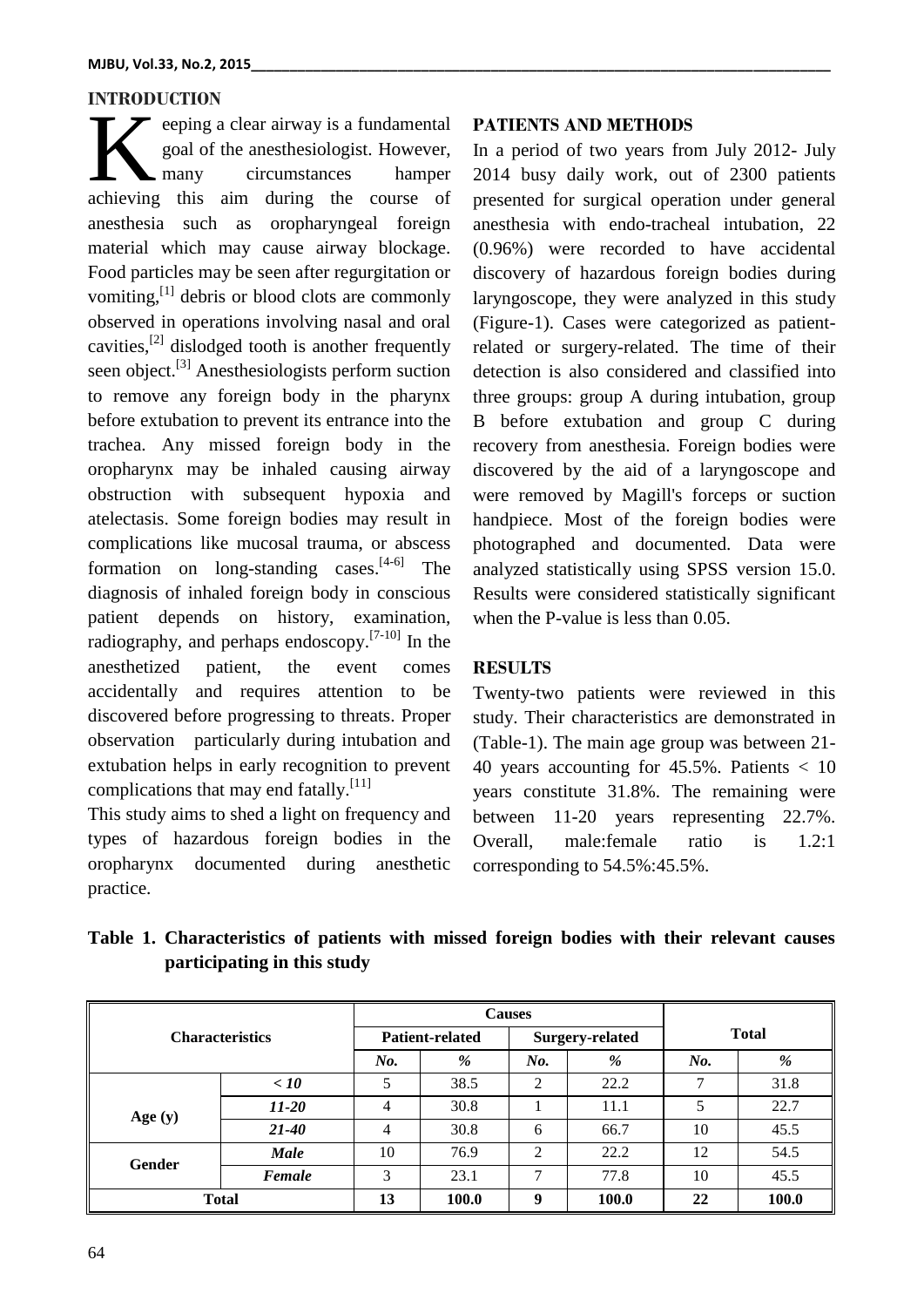## **INTRODUCTION**

eeping a clear airway is a fundamental goal of the anesthesiologist. However, many circumstances hamper eeping a clear airway is a fundamental<br>goal of the anesthesiologist. However,<br>achieving this aim during the course of anesthesia such as oropharyngeal foreign material which may cause airway blockage. Food particles may be seen after regurgitation or vomiting,<sup>[1]</sup> debris or blood clots are commonly observed in operations involving nasal and oral cavities,<sup>[2]</sup> dislodged tooth is another frequently seen object.<sup>[3]</sup> Anesthesiologists perform suction to remove any foreign body in the pharynx before extubation to prevent its entrance into the trachea. Any missed foreign body in the oropharynx may be inhaled causing airway obstruction with subsequent hypoxia and atelectasis. Some foreign bodies may result in complications like mucosal trauma, or abscess formation on long-standing cases.<sup>[4-6]</sup> The diagnosis of inhaled foreign body in conscious patient depends on history, examination, radiography, and perhaps endoscopy.<sup>[7-10]</sup> In the anesthetized patient, the event comes accidentally and requires attention to be discovered before progressing to threats. Proper observation particularly during intubation and extubation helps in early recognition to prevent complications that may end fatally.<sup>[11]</sup>

This study aims to shed a light on frequency and types of hazardous foreign bodies in the oropharynx documented during anesthetic practice.

#### **PATIENTS AND METHODS**

In a period of two years from July 2012- July 2014 busy daily work, out of 2300 patients presented for surgical operation under general anesthesia with endo-tracheal intubation, 22 (0.96%) were recorded to have accidental discovery of hazardous foreign bodies during laryngoscope, they were analyzed in this study (Figure-1). Cases were categorized as patientrelated or surgery-related. The time of their detection is also considered and classified into three groups: group A during intubation, group B before extubation and group C during recovery from anesthesia. Foreign bodies were discovered by the aid of a laryngoscope and were removed by Magill's forceps or suction handpiece. Most of the foreign bodies were photographed and documented. Data were analyzed statistically using SPSS version 15.0. Results were considered statistically significant when the P-value is less than 0.05.

# **RESULTS**

Twenty-two patients were reviewed in this study. Their characteristics are demonstrated in (Table-1). The main age group was between 21- 40 years accounting for 45.5%. Patients < 10 years constitute 31.8%. The remaining were between 11-20 years representing 22.7%. Overall, male:female ratio is 1.2:1 corresponding to 54.5%:45.5%.

|  | Table 1. Characteristics of patients with missed foreign bodies with their relevant causes |  |  |  |  |  |
|--|--------------------------------------------------------------------------------------------|--|--|--|--|--|
|  | participating in this study                                                                |  |  |  |  |  |

|                        |                        |       | <b>Causes</b>          |                |              |               |      |
|------------------------|------------------------|-------|------------------------|----------------|--------------|---------------|------|
| <b>Characteristics</b> | <b>Patient-related</b> |       | <b>Surgery-related</b> |                | <b>Total</b> |               |      |
|                        | No.                    | %     | No.                    | %              | No.          | %             |      |
|                        | < 10                   | 5     | 38.5                   | ↑              | 22.2         | $\mathcal{L}$ | 31.8 |
| Age $(y)$              | $11 - 20$              | 4     | 30.8                   |                | 11.1         |               | 22.7 |
|                        | $21 - 40$              | 4     | 30.8                   | 6              | 66.7         | 10            | 45.5 |
| <b>Gender</b>          | <b>Male</b>            | 10    | 76.9                   | $\mathfrak{D}$ | 22.2         | 12            | 54.5 |
|                        | Female                 | 3     | 23.1                   | ⇁              | 77.8         | 10            | 45.5 |
| <b>Total</b>           | 13                     | 100.0 | 9                      | 100.0          | 22           | 100.0         |      |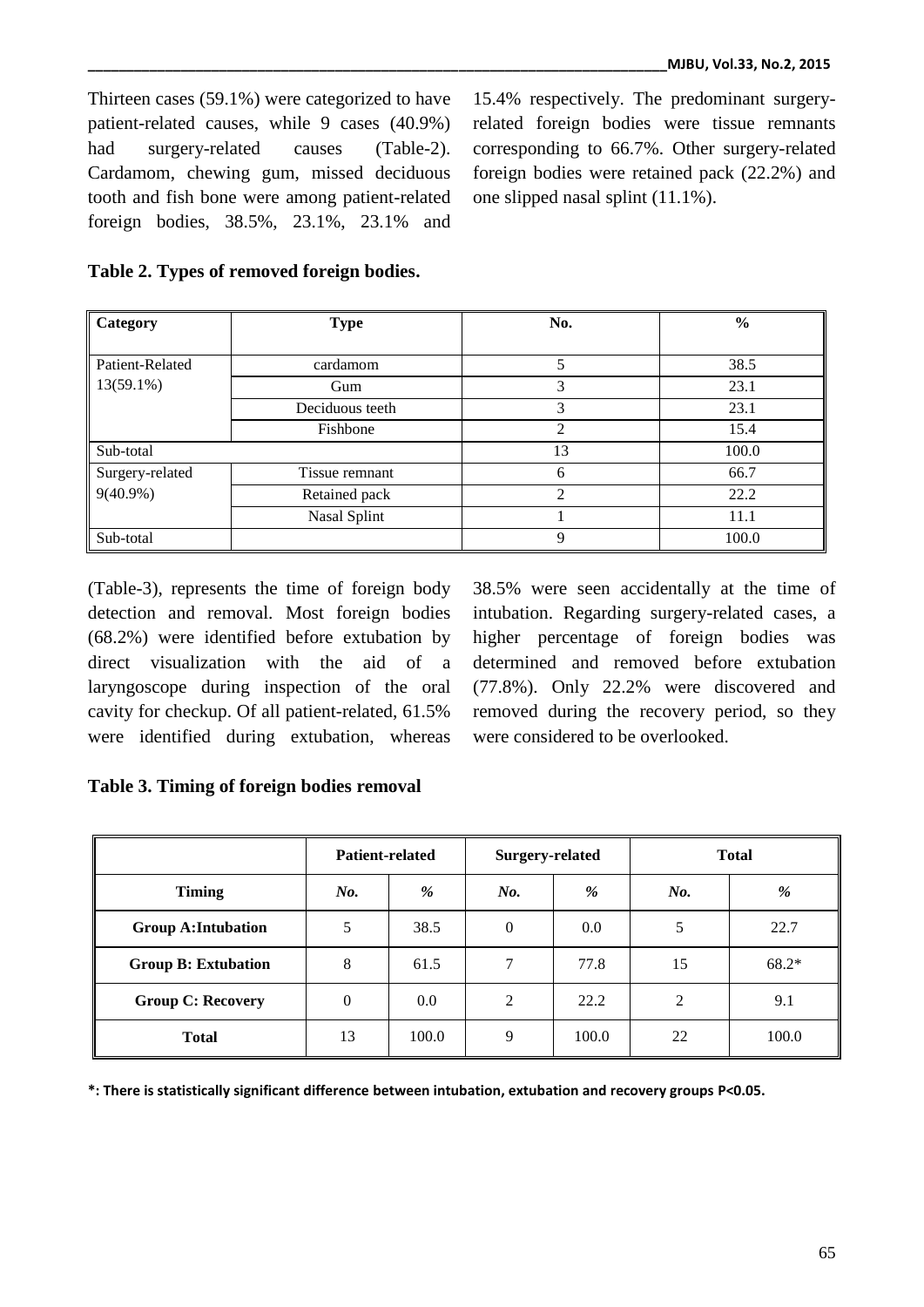Thirteen cases (59.1%) were categorized to have patient-related causes, while 9 cases (40.9%) had surgery-related causes (Table-2). Cardamom, chewing gum, missed deciduous tooth and fish bone were among patient-related foreign bodies, 38.5%, 23.1%, 23.1% and

15.4% respectively. The predominant surgeryrelated foreign bodies were tissue remnants corresponding to 66.7%. Other surgery-related foreign bodies were retained pack (22.2%) and one slipped nasal splint (11.1%).

| Category        | <b>Type</b>     | No.            | $\frac{0}{0}$ |  |
|-----------------|-----------------|----------------|---------------|--|
|                 |                 |                |               |  |
| Patient-Related | cardamom        | 5              | 38.5          |  |
| $13(59.1\%)$    | Gum             | 3              | 23.1          |  |
|                 | Deciduous teeth | 3              | 23.1          |  |
|                 | Fishbone        | $\mathfrak{D}$ | 15.4          |  |
| Sub-total       |                 | 13             | 100.0         |  |
| Surgery-related | Tissue remnant  | 6              | 66.7          |  |
| $9(40.9\%)$     | Retained pack   | ∍              | 22.2          |  |
|                 | Nasal Splint    |                | 11.1          |  |
| Sub-total       |                 | 9              | 100.0         |  |

### **Table 2. Types of removed foreign bodies.**

(Table-3), represents the time of foreign body detection and removal. Most foreign bodies (68.2%) were identified before extubation by direct visualization with the aid of a laryngoscope during inspection of the oral cavity for checkup. Of all patient-related, 61.5% were identified during extubation, whereas 38.5% were seen accidentally at the time of intubation. Regarding surgery-related cases, a higher percentage of foreign bodies was determined and removed before extubation (77.8%). Only 22.2% were discovered and removed during the recovery period, so they were considered to be overlooked.

### **Table 3. Timing of foreign bodies removal**

|                            | <b>Patient-related</b> |       | <b>Surgery-related</b> |       | <b>Total</b> |         |  |
|----------------------------|------------------------|-------|------------------------|-------|--------------|---------|--|
| <b>Timing</b>              | No.                    | %     | No.                    | %     | No.          | %       |  |
| <b>Group A: Intubation</b> | 5                      | 38.5  | $\mathbf{0}$           | 0.0   | 5            | 22.7    |  |
| <b>Group B: Extubation</b> | 8                      | 61.5  | 7                      | 77.8  | 15           | $68.2*$ |  |
| <b>Group C: Recovery</b>   | $\mathbf{0}$           | 0.0   | 2                      | 22.2  | 2            | 9.1     |  |
| <b>Total</b>               | 13                     | 100.0 | 9                      | 100.0 | 22           | 100.0   |  |

**\*: There is statistically significant difference between intubation, extubation and recovery groups P<0.05.**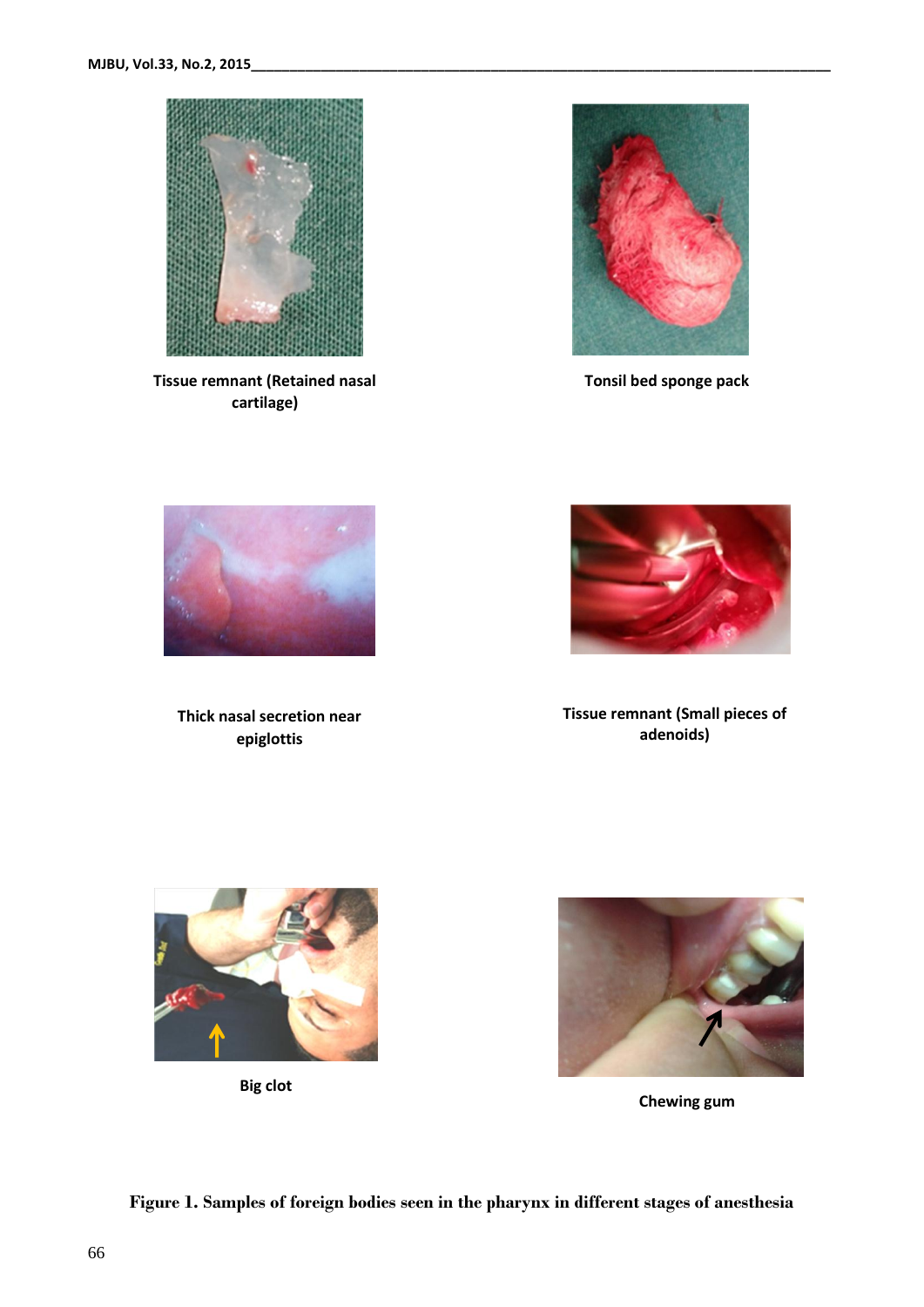

**Tissue remnant (Retained nasal cartilage)**



 **Tonsil bed sponge pack**



**Thick nasal secretion near epiglottis**



**Tissue remnant (Small pieces of adenoids)**



**Big clot**



**Chewing gum**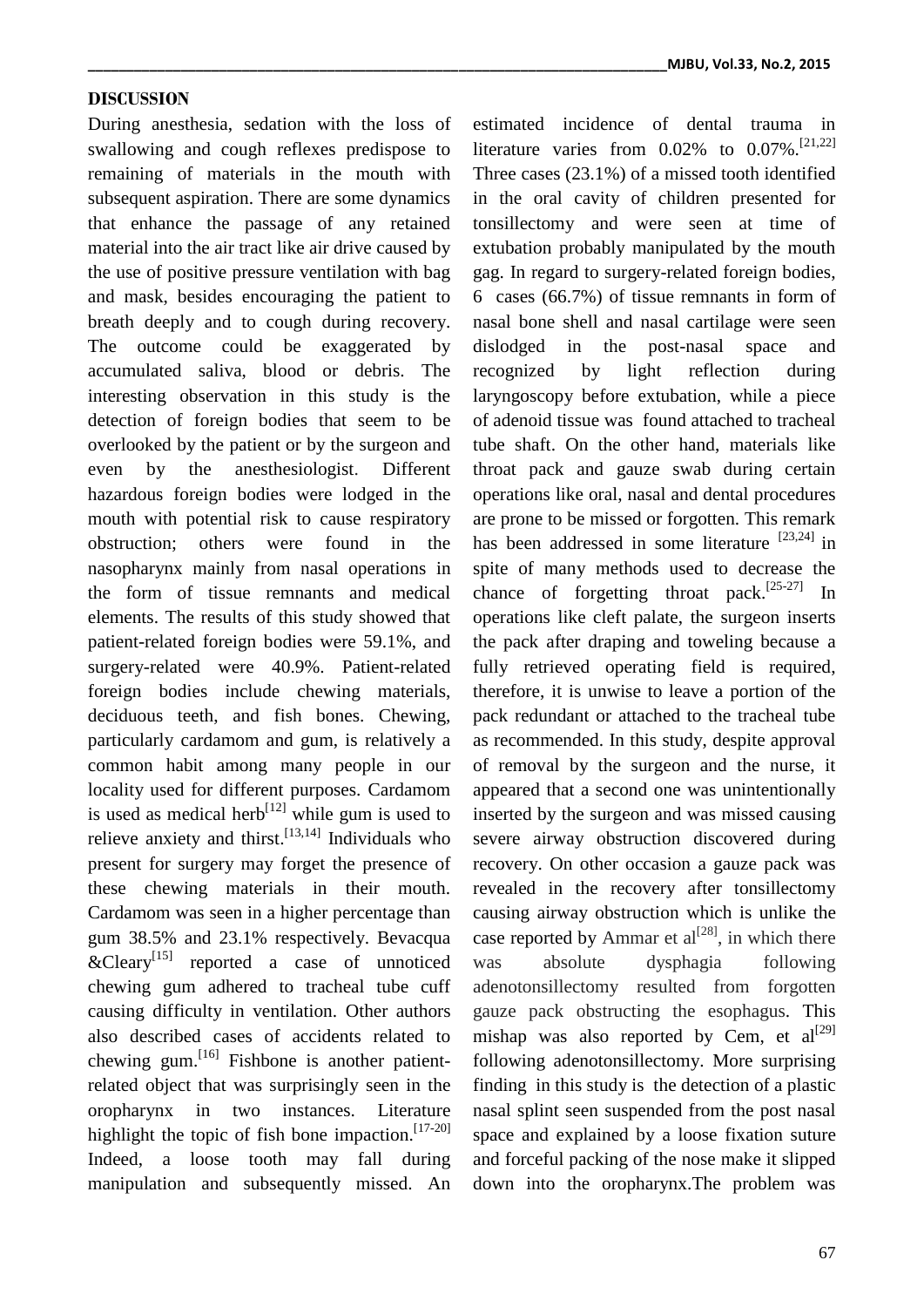#### **DISCUSSION**

During anesthesia, sedation with the loss of swallowing and cough reflexes predispose to remaining of materials in the mouth with subsequent aspiration. There are some dynamics that enhance the passage of any retained material into the air tract like air drive caused by the use of positive pressure ventilation with bag and mask, besides encouraging the patient to breath deeply and to cough during recovery. The outcome could be exaggerated by accumulated saliva, blood or debris. The interesting observation in this study is the detection of foreign bodies that seem to be overlooked by the patient or by the surgeon and even by the anesthesiologist. Different hazardous foreign bodies were lodged in the mouth with potential risk to cause respiratory obstruction; others were found in the nasopharynx mainly from nasal operations in the form of tissue remnants and medical elements. The results of this study showed that patient-related foreign bodies were 59.1%, and surgery-related were 40.9%. Patient-related foreign bodies include chewing materials, deciduous teeth, and fish bones. Chewing, particularly cardamom and gum, is relatively a common habit among many people in our locality used for different purposes. Cardamom is used as medical herb<sup>[12]</sup> while gum is used to relieve anxiety and thirst.<sup>[13,14]</sup> Individuals who present for surgery may forget the presence of these chewing materials in their mouth. Cardamom was seen in a higher percentage than gum 38.5% and 23.1% respectively. Bevacqua  $\&$ Cleary<sup>[15]</sup> reported a case of unnoticed chewing gum adhered to tracheal tube cuff causing difficulty in ventilation. Other authors also described cases of accidents related to chewing gum.<sup>[16]</sup> Fishbone is another patientrelated object that was surprisingly seen in the oropharynx in two instances. Literature highlight the topic of fish bone impaction.<sup>[17-20]</sup> Indeed, a loose tooth may fall during manipulation and subsequently missed. An

**\_\_\_\_\_\_\_\_\_\_\_\_\_\_\_\_\_\_\_\_\_\_\_\_\_\_\_\_\_\_\_\_\_\_\_\_\_\_\_\_\_\_\_\_\_\_\_\_\_\_\_\_\_\_\_\_\_\_\_\_\_\_\_\_\_\_\_\_\_\_\_\_\_\_\_MJBU, Vol.33, No.2, 2015**

estimated incidence of dental trauma in literature varies from  $0.02\%$  to  $0.07\%$ .<sup>[21,22]</sup> Three cases (23.1%) of a missed tooth identified in the oral cavity of children presented for tonsillectomy and were seen at time of extubation probably manipulated by the mouth gag. In regard to surgery-related foreign bodies, 6 cases (66.7%) of tissue remnants in form of nasal bone shell and nasal cartilage were seen dislodged in the post-nasal space and recognized by light reflection during laryngoscopy before extubation, while a piece of adenoid tissue was found attached to tracheal tube shaft. On the other hand, materials like throat pack and gauze swab during certain operations like oral, nasal and dental procedures are prone to be missed or forgotten. This remark has been addressed in some literature [23,24] in spite of many methods used to decrease the chance of forgetting throat pack.<sup>[25-27]</sup> In operations like cleft palate, the surgeon inserts the pack after draping and toweling because a fully retrieved operating field is required, therefore, it is unwise to leave a portion of the pack redundant or attached to the tracheal tube as recommended. In this study, despite approval of removal by the surgeon and the nurse, it appeared that a second one was unintentionally inserted by the surgeon and was missed causing severe airway obstruction discovered during recovery. On other occasion a gauze pack was revealed in the recovery after tonsillectomy causing airway obstruction which is unlike the case reported by Ammar et  $al^{[28]}$ , in which there was absolute dysphagia following adenotonsillectomy resulted from forgotten gauze pack obstructing the esophagus. This mishap was also reported by Cem, et  $al^{[29]}$ following adenotonsillectomy. More surprising finding in this study is the detection of a plastic nasal splint seen suspended from the post nasal space and explained by a loose fixation suture and forceful packing of the nose make it slipped down into the oropharynx.The problem was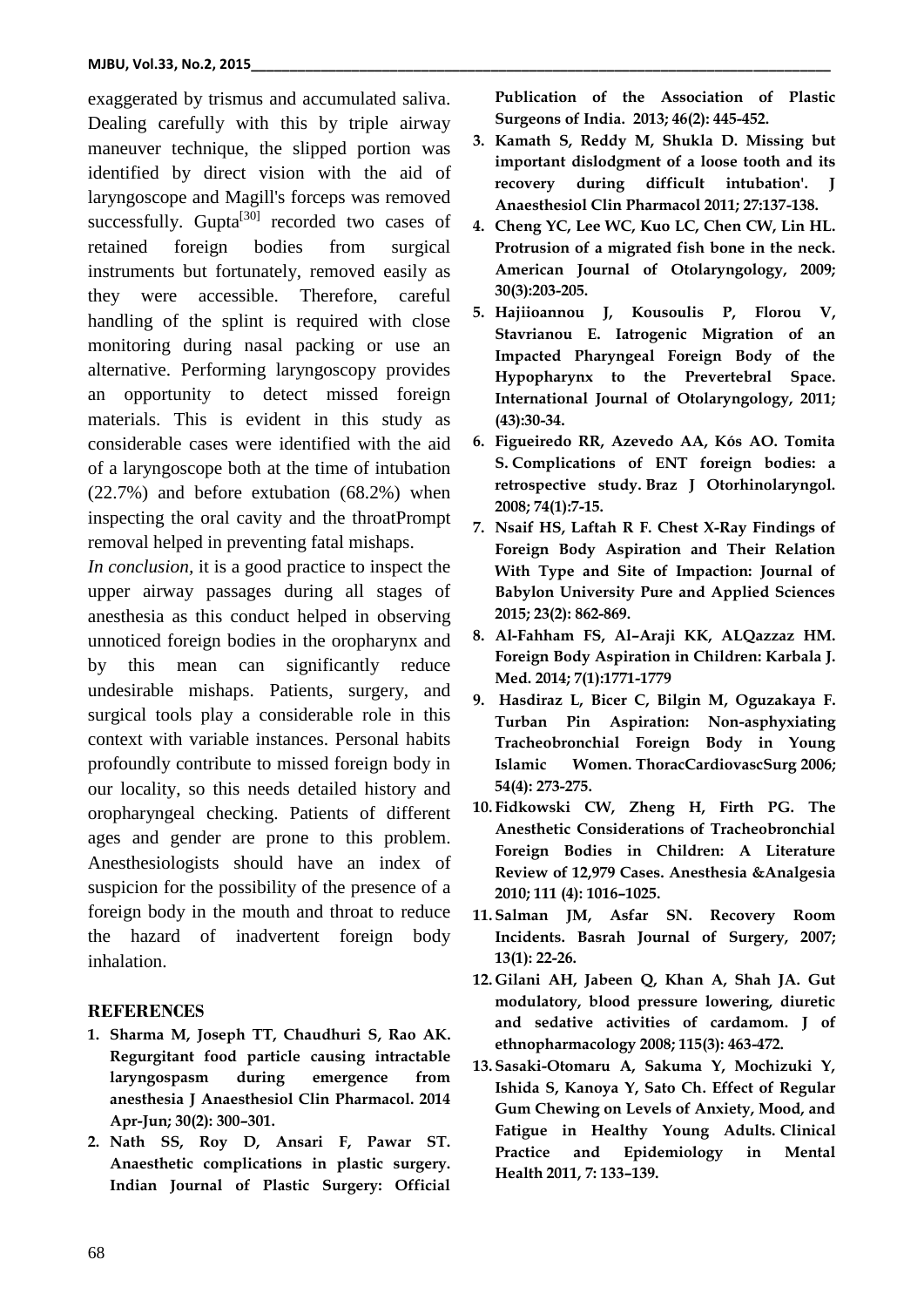exaggerated by trismus and accumulated saliva. Dealing carefully with this by triple airway maneuver technique, the slipped portion was identified by direct vision with the aid of laryngoscope and Magill's forceps was removed successfully. Gupta<sup>[30]</sup> recorded two cases of retained foreign bodies from surgical instruments but fortunately, removed easily as they were accessible. Therefore, careful handling of the splint is required with close monitoring during nasal packing or use an alternative. Performing laryngoscopy provides an opportunity to detect missed foreign materials. This is evident in this study as considerable cases were identified with the aid of a laryngoscope both at the time of intubation (22.7%) and before extubation (68.2%) when inspecting the oral cavity and the throatPrompt removal helped in preventing fatal mishaps.

*In conclusion,* it is a good practice to inspect the upper airway passages during all stages of anesthesia as this conduct helped in observing unnoticed foreign bodies in the oropharynx and by this mean can significantly reduce undesirable mishaps. Patients, surgery, and surgical tools play a considerable role in this context with variable instances. Personal habits profoundly contribute to missed foreign body in our locality, so this needs detailed history and oropharyngeal checking. Patients of different ages and gender are prone to this problem. Anesthesiologists should have an index of suspicion for the possibility of the presence of a foreign body in the mouth and throat to reduce the hazard of inadvertent foreign body inhalation.

# **REFERENCES**

- **1. Sharma M, Joseph TT, Chaudhuri S, Rao AK. Regurgitant food particle causing intractable laryngospasm during emergence from anesthesia J Anaesthesiol Clin Pharmacol. 2014 Apr-Jun; 30(2): 300–301.**
- **2. Nath SS, Roy D, Ansari F, Pawar ST. Anaesthetic complications in plastic surgery. Indian Journal of Plastic Surgery: Official**

**Publication of the Association of Plastic Surgeons of India. 2013; 46(2): 445-452.**

- **3. Kamath S, Reddy M, Shukla D. Missing but important dislodgment of a loose tooth and its recovery during difficult intubation'. J Anaesthesiol Clin Pharmacol 2011; 27:137-138.**
- **4. Cheng YC, Lee WC, Kuo LC, Chen CW, Lin HL. Protrusion of a migrated fish bone in the neck. American Journal of Otolaryngology, 2009; 30(3):203-205.**
- **5. Hajiioannou J, Kousoulis P, Florou V, Stavrianou E. Iatrogenic Migration of an Impacted Pharyngeal Foreign Body of the Hypopharynx to the Prevertebral Space. International Journal of Otolaryngology, 2011; (43):30-34.**
- **6. Figueiredo RR, Azevedo AA, Kós AO. Tomita S. Complications of ENT foreign bodies: a retrospective study. Braz J Otorhinolaryngol. 2008; 74(1):7-15.**
- **7. Nsaif HS, Laftah R F. Chest X-Ray Findings of Foreign Body Aspiration and Their Relation With Type and Site of Impaction: Journal of Babylon University Pure and Applied Sciences 2015; 23(2): 862-869.**
- **8. Al-Fahham FS, Al–Araji KK, ALQazzaz HM. Foreign Body Aspiration in Children: Karbala J. Med. 2014; 7(1):1771-1779**
- **9. Hasdiraz L, Bicer C, Bilgin M, Oguzakaya F. Turban Pin Aspiration: Non-asphyxiating Tracheobronchial Foreign Body in Young Islamic Women. ThoracCardiovascSurg 2006; 54(4): 273-275.**
- **10. Fidkowski CW, Zheng H, Firth PG. The Anesthetic Considerations of Tracheobronchial Foreign Bodies in Children: A Literature Review of 12,979 Cases. Anesthesia &Analgesia 2010; 111 (4): 1016–1025.**
- **11. Salman JM, Asfar SN. Recovery Room Incidents. Basrah Journal of Surgery, 2007; 13(1): 22-26.**
- **12. Gilani AH, Jabeen Q, Khan A, Shah JA. Gut modulatory, blood pressure lowering, diuretic and sedative activities of cardamom. J of ethnopharmacology 2008; 115(3): 463-472.**
- **13. Sasaki-Otomaru A, Sakuma Y, Mochizuki Y, Ishida S, Kanoya Y, Sato Ch. Effect of Regular Gum Chewing on Levels of Anxiety, Mood, and Fatigue in Healthy Young Adults. Clinical Practice and Epidemiology in Mental Health 2011, 7: 133–139.**